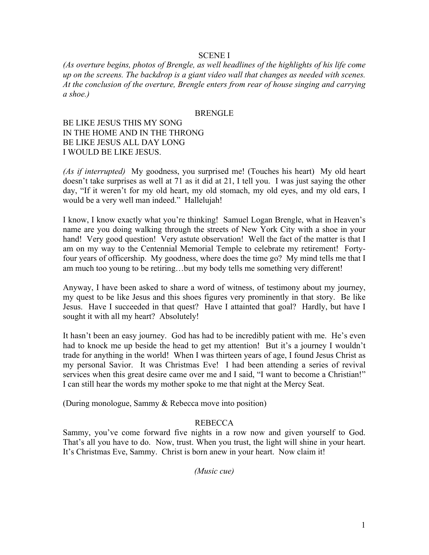## SCENE I

*(As overture begins, photos of Brengle, as well headlines of the highlights of his life come up on the screens. The backdrop is a giant video wall that changes as needed with scenes. At the conclusion of the overture, Brengle enters from rear of house singing and carrying a shoe.)*

#### **BRENGLE**

BE LIKE JESUS THIS MY SONG IN THE HOME AND IN THE THRONG BE LIKE JESUS ALL DAY LONG I WOULD BE LIKE JESUS.

*(As if interrupted)* My goodness, you surprised me! (Touches his heart) My old heart doesn't take surprises as well at 71 as it did at 21, I tell you. I was just saying the other day, "If it weren't for my old heart, my old stomach, my old eyes, and my old ears, I would be a very well man indeed." Hallelujah!

I know, I know exactly what you're thinking! Samuel Logan Brengle, what in Heaven's name are you doing walking through the streets of New York City with a shoe in your hand! Very good question! Very astute observation! Well the fact of the matter is that I am on my way to the Centennial Memorial Temple to celebrate my retirement! Fortyfour years of officership. My goodness, where does the time go? My mind tells me that I am much too young to be retiring…but my body tells me something very different!

Anyway, I have been asked to share a word of witness, of testimony about my journey, my quest to be like Jesus and this shoes figures very prominently in that story. Be like Jesus. Have I succeeded in that quest? Have I attainted that goal? Hardly, but have I sought it with all my heart? Absolutely!

It hasn't been an easy journey. God has had to be incredibly patient with me. He's even had to knock me up beside the head to get my attention! But it's a journey I wouldn't trade for anything in the world! When I was thirteen years of age, I found Jesus Christ as my personal Savior. It was Christmas Eve! I had been attending a series of revival services when this great desire came over me and I said, "I want to become a Christian!" I can still hear the words my mother spoke to me that night at the Mercy Seat.

(During monologue, Sammy & Rebecca move into position)

## REBECCA

Sammy, you've come forward five nights in a row now and given yourself to God. That's all you have to do. Now, trust. When you trust, the light will shine in your heart. It's Christmas Eve, Sammy. Christ is born anew in your heart. Now claim it!

*(Music cue)*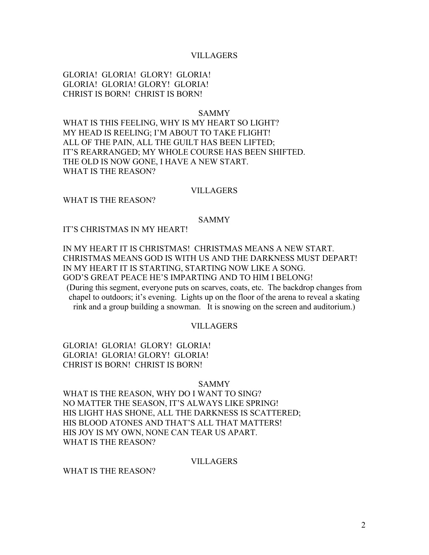#### VILLAGERS

GLORIA! GLORIA! GLORY! GLORIA! GLORIA! GLORIA! GLORY! GLORIA! CHRIST IS BORN! CHRIST IS BORN!

#### SAMMY

WHAT IS THIS FEELING, WHY IS MY HEART SO LIGHT? MY HEAD IS REELING; I'M ABOUT TO TAKE FLIGHT! ALL OF THE PAIN, ALL THE GUILT HAS BEEN LIFTED; IT'S REARRANGED; MY WHOLE COURSE HAS BEEN SHIFTED. THE OLD IS NOW GONE, I HAVE A NEW START. WHAT IS THE REASON?

#### VILLAGERS

WHAT IS THE REASON?

## SAMMY

IT'S CHRISTMAS IN MY HEART!

IN MY HEART IT IS CHRISTMAS! CHRISTMAS MEANS A NEW START. CHRISTMAS MEANS GOD IS WITH US AND THE DARKNESS MUST DEPART! IN MY HEART IT IS STARTING, STARTING NOW LIKE A SONG. GOD'S GREAT PEACE HE'S IMPARTING AND TO HIM I BELONG!

(During this segment, everyone puts on scarves, coats, etc. The backdrop changes from chapel to outdoors; it's evening. Lights up on the floor of the arena to reveal a skating rink and a group building a snowman. It is snowing on the screen and auditorium.)

## VILLAGERS

GLORIA! GLORIA! GLORY! GLORIA! GLORIA! GLORIA! GLORY! GLORIA! CHRIST IS BORN! CHRIST IS BORN!

#### SAMMY

WHAT IS THE REASON, WHY DO I WANT TO SING? NO MATTER THE SEASON, IT'S ALWAYS LIKE SPRING! HIS LIGHT HAS SHONE, ALL THE DARKNESS IS SCATTERED; HIS BLOOD ATONES AND THAT'S ALL THAT MATTERS! HIS JOY IS MY OWN, NONE CAN TEAR US APART. WHAT IS THE REASON?

#### VILLAGERS

WHAT IS THE REASON?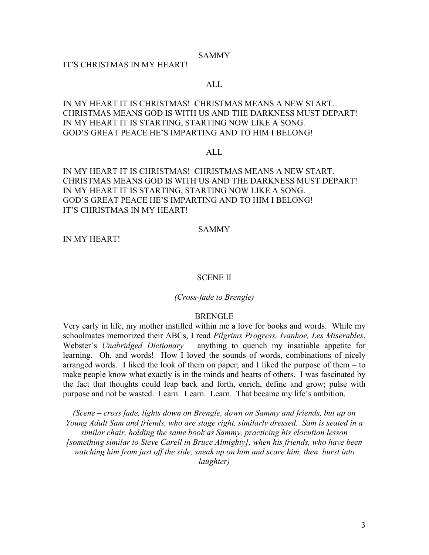#### SAMMY

## IT'S CHRISTMAS IN MY HEART!

## ALL

IN MY HEART IT IS CHRISTMAS! CHRISTMAS MEANS A NEW START. CHRISTMAS MEANS GOD IS WITH US AND THE DARKNESS MUST DEPART! IN MY HEART IT IS STARTING, STARTING NOW LIKE A SONG. GOD'S GREAT PEACE HE'S IMPARTING AND TO HIM I BELONG!

## ALL

IN MY HEART IT IS CHRISTMAS! CHRISTMAS MEANS A NEW START. CHRISTMAS MEANS GOD IS WITH US AND THE DARKNESS MUST DEPART! IN MY HEART IT IS STARTING, STARTING NOW LIKE A SONG. GOD'S GREAT PEACE HE'S IMPARTING AND TO HIM I BELONG! IT'S CHRISTMAS IN MY HEART!

#### SAMMY

IN MY HEART!

#### SCENE II

#### *(Cross-fade to Brengle)*

#### BRENGLE

Very early in life, my mother instilled within me a love for books and words. While my schoolmates memorized their ABCs, I read *Pilgrims Progress, Ivanhoe, Les Miserables*, Webster's *Unabridged Dictionary –* anything to quench my insatiable appetite for learning. Oh, and words! How I loved the sounds of words, combinations of nicely arranged words. I liked the look of them on paper; and I liked the purpose of them – to make people know what exactly is in the minds and hearts of others. I was fascinated by the fact that thoughts could leap back and forth, enrich, define and grow; pulse with purpose and not be wasted. Learn. Learn. Learn. That became my life's ambition.

*(Scene – cross fade, lights down on Brengle, down on Sammy and friends, but up on Young Adult Sam and friends, who are stage right, similarly dressed. Sam is seated in a similar chair, holding the same book as Sammy, practicing his elocution lesson [something similar to Steve Carell in Bruce Almighty], when his friends, who have been watching him from just off the side, sneak up on him and scare him, then burst into laughter)*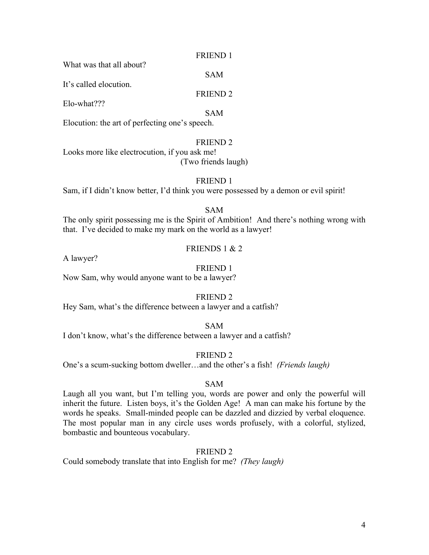## FRIEND 1

SAM

FRIEND 2

What was that all about?

It's called elocution.

Elo-what???

SAM

Elocution: the art of perfecting one's speech.

# FRIEND 2

Looks more like electrocution, if you ask me! (Two friends laugh)

# FRIEND 1

Sam, if I didn't know better, I'd think you were possessed by a demon or evil spirit!

# SAM

The only spirit possessing me is the Spirit of Ambition! And there's nothing wrong with that. I've decided to make my mark on the world as a lawyer!

# FRIENDS 1 & 2

A lawyer?

# FRIEND 1

Now Sam, why would anyone want to be a lawyer?

# FRIEND 2

Hey Sam, what's the difference between a lawyer and a catfish?

# SAM

I don't know, what's the difference between a lawyer and a catfish?

# FRIEND 2

One's a scum-sucking bottom dweller…and the other's a fish! *(Friends laugh)*

# SAM

Laugh all you want, but I'm telling you, words are power and only the powerful will inherit the future. Listen boys, it's the Golden Age! A man can make his fortune by the words he speaks. Small-minded people can be dazzled and dizzied by verbal eloquence. The most popular man in any circle uses words profusely, with a colorful, stylized, bombastic and bounteous vocabulary.

# FRIEND 2

Could somebody translate that into English for me? *(They laugh)*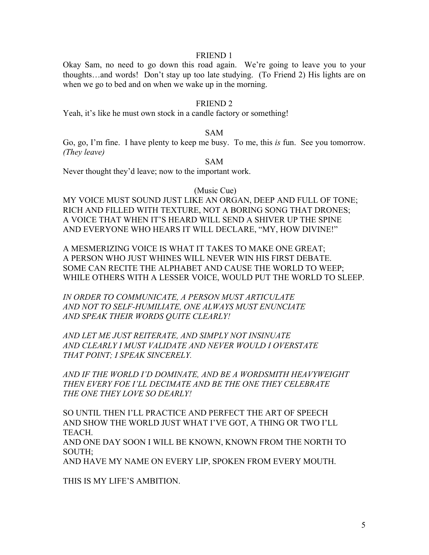### FRIEND 1

Okay Sam, no need to go down this road again. We're going to leave you to your thoughts…and words! Don't stay up too late studying. (To Friend 2) His lights are on when we go to bed and on when we wake up in the morning.

## FRIEND 2

Yeah, it's like he must own stock in a candle factory or something!

## SAM

Go, go, I'm fine. I have plenty to keep me busy. To me, this *is* fun. See you tomorrow. *(They leave)*

SAM

Never thought they'd leave; now to the important work.

(Music Cue)

MY VOICE MUST SOUND JUST LIKE AN ORGAN, DEEP AND FULL OF TONE; RICH AND FILLED WITH TEXTURE, NOT A BORING SONG THAT DRONES; A VOICE THAT WHEN IT'S HEARD WILL SEND A SHIVER UP THE SPINE AND EVERYONE WHO HEARS IT WILL DECLARE, "MY, HOW DIVINE!"

A MESMERIZING VOICE IS WHAT IT TAKES TO MAKE ONE GREAT; A PERSON WHO JUST WHINES WILL NEVER WIN HIS FIRST DEBATE. SOME CAN RECITE THE ALPHABET AND CAUSE THE WORLD TO WEEP; WHILE OTHERS WITH A LESSER VOICE, WOULD PUT THE WORLD TO SLEEP.

*IN ORDER TO COMMUNICATE, A PERSON MUST ARTICULATE AND NOT TO SELF-HUMILIATE, ONE ALWAYS MUST ENUNCIATE AND SPEAK THEIR WORDS QUITE CLEARLY!*

*AND LET ME JUST REITERATE, AND SIMPLY NOT INSINUATE AND CLEARLY I MUST VALIDATE AND NEVER WOULD I OVERSTATE THAT POINT; I SPEAK SINCERELY.*

*AND IF THE WORLD I'D DOMINATE, AND BE A WORDSMITH HEAVYWEIGHT THEN EVERY FOE I'LL DECIMATE AND BE THE ONE THEY CELEBRATE THE ONE THEY LOVE SO DEARLY!*

SO UNTIL THEN I'LL PRACTICE AND PERFECT THE ART OF SPEECH AND SHOW THE WORLD JUST WHAT I'VE GOT, A THING OR TWO I'LL TEACH.

AND ONE DAY SOON I WILL BE KNOWN, KNOWN FROM THE NORTH TO SOUTH;

AND HAVE MY NAME ON EVERY LIP, SPOKEN FROM EVERY MOUTH.

THIS IS MY LIFE'S AMBITION.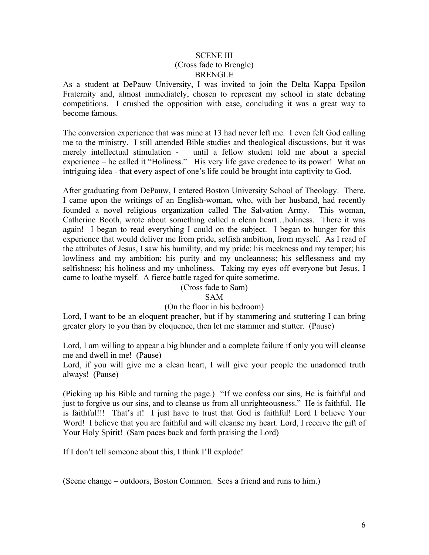## SCENE III (Cross fade to Brengle) **BRENGLE**

As a student at DePauw University, I was invited to join the Delta Kappa Epsilon Fraternity and, almost immediately, chosen to represent my school in state debating competitions. I crushed the opposition with ease, concluding it was a great way to become famous.

The conversion experience that was mine at 13 had never left me. I even felt God calling me to the ministry. I still attended Bible studies and theological discussions, but it was merely intellectual stimulation - until a fellow student told me about a special experience – he called it "Holiness." His very life gave credence to its power! What an intriguing idea - that every aspect of one's life could be brought into captivity to God.

After graduating from DePauw, I entered Boston University School of Theology. There, I came upon the writings of an English-woman, who, with her husband, had recently founded a novel religious organization called The Salvation Army. This woman, Catherine Booth, wrote about something called a clean heart…holiness. There it was again! I began to read everything I could on the subject. I began to hunger for this experience that would deliver me from pride, selfish ambition, from myself. As I read of the attributes of Jesus, I saw his humility, and my pride; his meekness and my temper; his lowliness and my ambition; his purity and my uncleanness; his selflessness and my selfishness; his holiness and my unholiness. Taking my eyes off everyone but Jesus, I came to loathe myself. A fierce battle raged for quite sometime.

# (Cross fade to Sam)

# SAM

## (On the floor in his bedroom)

Lord, I want to be an eloquent preacher, but if by stammering and stuttering I can bring greater glory to you than by eloquence, then let me stammer and stutter. (Pause)

Lord, I am willing to appear a big blunder and a complete failure if only you will cleanse me and dwell in me! (Pause)

Lord, if you will give me a clean heart, I will give your people the unadorned truth always! (Pause)

(Picking up his Bible and turning the page.) "If we confess our sins, He is faithful and just to forgive us our sins, and to cleanse us from all unrighteousness." He is faithful. He is faithful!!! That's it! I just have to trust that God is faithful! Lord I believe Your Word! I believe that you are faithful and will cleanse my heart. Lord, I receive the gift of Your Holy Spirit! (Sam paces back and forth praising the Lord)

If I don't tell someone about this, I think I'll explode!

(Scene change – outdoors, Boston Common. Sees a friend and runs to him.)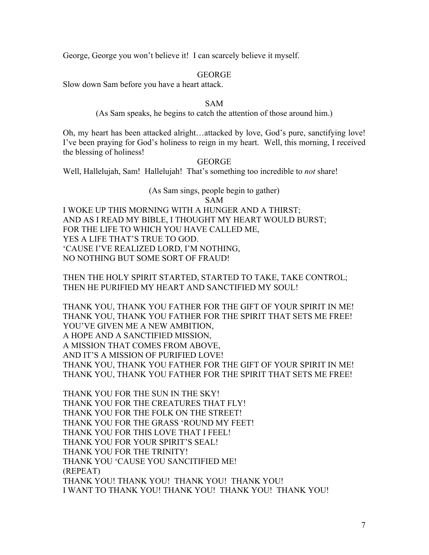George, George you won't believe it! I can scarcely believe it myself.

# **GEORGE**

Slow down Sam before you have a heart attack.

## SAM

(As Sam speaks, he begins to catch the attention of those around him.)

Oh, my heart has been attacked alright…attacked by love, God's pure, sanctifying love! I've been praying for God's holiness to reign in my heart. Well, this morning, I received the blessing of holiness!

# GEORGE

Well, Hallelujah, Sam! Hallelujah! That's something too incredible to *not* share!

## (As Sam sings, people begin to gather) SAM

I WOKE UP THIS MORNING WITH A HUNGER AND A THIRST; AND AS I READ MY BIBLE, I THOUGHT MY HEART WOULD BURST; FOR THE LIFE TO WHICH YOU HAVE CALLED ME, YES A LIFE THAT'S TRUE TO GOD. 'CAUSE I'VE REALIZED LORD, I'M NOTHING, NO NOTHING BUT SOME SORT OF FRAUD!

THEN THE HOLY SPIRIT STARTED, STARTED TO TAKE, TAKE CONTROL; THEN HE PURIFIED MY HEART AND SANCTIFIED MY SOUL!

THANK YOU, THANK YOU FATHER FOR THE GIFT OF YOUR SPIRIT IN ME! THANK YOU, THANK YOU FATHER FOR THE SPIRIT THAT SETS ME FREE! YOU'VE GIVEN ME A NEW AMBITION, A HOPE AND A SANCTIFIED MISSION, A MISSION THAT COMES FROM ABOVE, AND IT'S A MISSION OF PURIFIED LOVE! THANK YOU, THANK YOU FATHER FOR THE GIFT OF YOUR SPIRIT IN ME! THANK YOU, THANK YOU FATHER FOR THE SPIRIT THAT SETS ME FREE!

THANK YOU FOR THE SUN IN THE SKY! THANK YOU FOR THE CREATURES THAT FLY! THANK YOU FOR THE FOLK ON THE STREET! THANK YOU FOR THE GRASS 'ROUND MY FEET! THANK YOU FOR THIS LOVE THAT I FEEL! THANK YOU FOR YOUR SPIRIT'S SEAL! THANK YOU FOR THE TRINITY! THANK YOU 'CAUSE YOU SANCITIFIED ME! (REPEAT) THANK YOU! THANK YOU! THANK YOU! THANK YOU! I WANT TO THANK YOU! THANK YOU! THANK YOU! THANK YOU!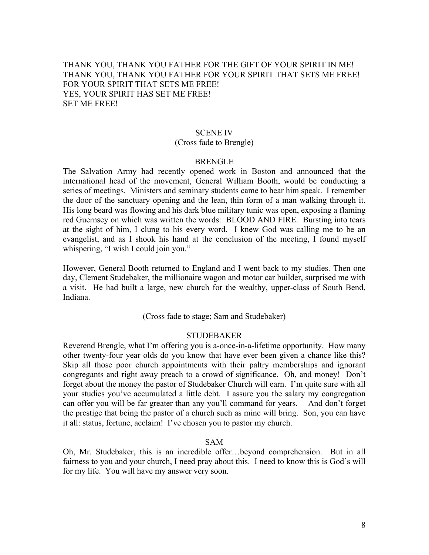# THANK YOU, THANK YOU FATHER FOR THE GIFT OF YOUR SPIRIT IN ME! THANK YOU, THANK YOU FATHER FOR YOUR SPIRIT THAT SETS ME FREE! FOR YOUR SPIRIT THAT SETS ME FREE! YES, YOUR SPIRIT HAS SET ME FREE! SET ME FREE!

# SCENE IV

## (Cross fade to Brengle)

## BRENGLE

The Salvation Army had recently opened work in Boston and announced that the international head of the movement, General William Booth, would be conducting a series of meetings. Ministers and seminary students came to hear him speak. I remember the door of the sanctuary opening and the lean, thin form of a man walking through it. His long beard was flowing and his dark blue military tunic was open, exposing a flaming red Guernsey on which was written the words: BLOOD AND FIRE. Bursting into tears at the sight of him, I clung to his every word. I knew God was calling me to be an evangelist, and as I shook his hand at the conclusion of the meeting, I found myself whispering, "I wish I could join you."

However, General Booth returned to England and I went back to my studies. Then one day, Clement Studebaker, the millionaire wagon and motor car builder, surprised me with a visit. He had built a large, new church for the wealthy, upper-class of South Bend, Indiana.

(Cross fade to stage; Sam and Studebaker)

## STUDEBAKER

Reverend Brengle, what I'm offering you is a-once-in-a-lifetime opportunity. How many other twenty-four year olds do you know that have ever been given a chance like this? Skip all those poor church appointments with their paltry memberships and ignorant congregants and right away preach to a crowd of significance. Oh, and money! Don't forget about the money the pastor of Studebaker Church will earn. I'm quite sure with all your studies you've accumulated a little debt. I assure you the salary my congregation can offer you will be far greater than any you'll command for years. And don't forget the prestige that being the pastor of a church such as mine will bring. Son, you can have it all: status, fortune, acclaim! I've chosen you to pastor my church.

## SAM

Oh, Mr. Studebaker, this is an incredible offer…beyond comprehension. But in all fairness to you and your church, I need pray about this. I need to know this is God's will for my life. You will have my answer very soon.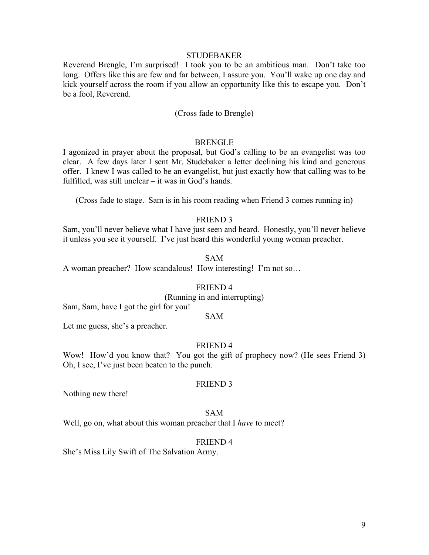#### **STUDEBAKER**

Reverend Brengle, I'm surprised! I took you to be an ambitious man. Don't take too long. Offers like this are few and far between, I assure you. You'll wake up one day and kick yourself across the room if you allow an opportunity like this to escape you. Don't be a fool, Reverend.

## (Cross fade to Brengle)

#### BRENGLE

I agonized in prayer about the proposal, but God's calling to be an evangelist was too clear. A few days later I sent Mr. Studebaker a letter declining his kind and generous offer. I knew I was called to be an evangelist, but just exactly how that calling was to be fulfilled, was still unclear – it was in God's hands.

(Cross fade to stage. Sam is in his room reading when Friend 3 comes running in)

# FRIEND 3

Sam, you'll never believe what I have just seen and heard. Honestly, you'll never believe it unless you see it yourself. I've just heard this wonderful young woman preacher.

#### SAM

A woman preacher? How scandalous! How interesting! I'm not so…

#### FRIEND 4

# (Running in and interrupting)

Sam, Sam, have I got the girl for you!

## SAM

Let me guess, she's a preacher.

#### FRIEND 4

Wow! How'd you know that? You got the gift of prophecy now? (He sees Friend 3) Oh, I see, I've just been beaten to the punch.

#### FRIEND 3

Nothing new there!

#### SAM

Well, go on, what about this woman preacher that I *have* to meet?

#### FRIEND 4

She's Miss Lily Swift of The Salvation Army.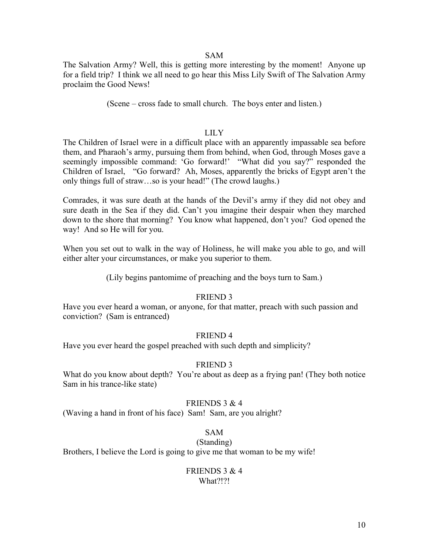#### SAM

The Salvation Army? Well, this is getting more interesting by the moment! Anyone up for a field trip? I think we all need to go hear this Miss Lily Swift of The Salvation Army proclaim the Good News!

(Scene – cross fade to small church. The boys enter and listen.)

#### LILY

The Children of Israel were in a difficult place with an apparently impassable sea before them, and Pharaoh's army, pursuing them from behind, when God, through Moses gave a seemingly impossible command: 'Go forward!' "What did you say?" responded the Children of Israel, "Go forward? Ah, Moses, apparently the bricks of Egypt aren't the only things full of straw…so is your head!" (The crowd laughs.)

Comrades, it was sure death at the hands of the Devil's army if they did not obey and sure death in the Sea if they did. Can't you imagine their despair when they marched down to the shore that morning? You know what happened, don't you? God opened the way! And so He will for you.

When you set out to walk in the way of Holiness, he will make you able to go, and will either alter your circumstances, or make you superior to them.

(Lily begins pantomime of preaching and the boys turn to Sam.)

## FRIEND 3

Have you ever heard a woman, or anyone, for that matter, preach with such passion and conviction? (Sam is entranced)

## FRIEND 4

Have you ever heard the gospel preached with such depth and simplicity?

## FRIEND 3

What do you know about depth? You're about as deep as a frying pan! (They both notice Sam in his trance-like state)

## FRIENDS 3  $& 4$

(Waving a hand in front of his face) Sam! Sam, are you alright?

## SAM

(Standing)

Brothers, I believe the Lord is going to give me that woman to be my wife!

## FRIENDS 3 & 4 What?!?!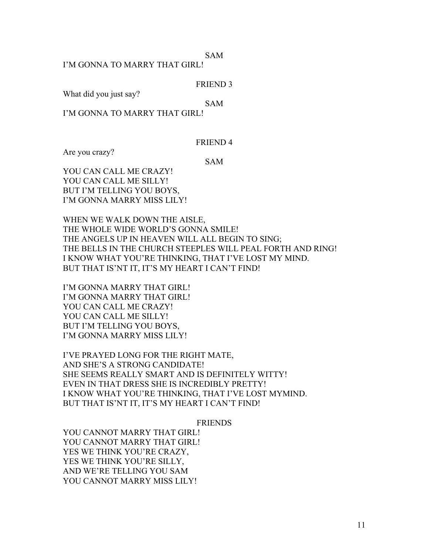SAM

I'M GONNA TO MARRY THAT GIRL!

FRIEND 3

What did you just say?

SAM

I'M GONNA TO MARRY THAT GIRL!

FRIEND 4

Are you crazy?

SAM

YOU CAN CALL ME CRAZY! YOU CAN CALL ME SILLY! BUT I'M TELLING YOU BOYS, I'M GONNA MARRY MISS LILY!

WHEN WE WALK DOWN THE AISLE, THE WHOLE WIDE WORLD'S GONNA SMILE! THE ANGELS UP IN HEAVEN WILL ALL BEGIN TO SING; THE BELLS IN THE CHURCH STEEPLES WILL PEAL FORTH AND RING! I KNOW WHAT YOU'RE THINKING, THAT I'VE LOST MY MIND. BUT THAT IS'NT IT, IT'S MY HEART I CAN'T FIND!

I'M GONNA MARRY THAT GIRL! I'M GONNA MARRY THAT GIRL! YOU CAN CALL ME CRAZY! YOU CAN CALL ME SILLY! BUT I'M TELLING YOU BOYS, I'M GONNA MARRY MISS LILY!

I'VE PRAYED LONG FOR THE RIGHT MATE, AND SHE'S A STRONG CANDIDATE! SHE SEEMS REALLY SMART AND IS DEFINITELY WITTY! EVEN IN THAT DRESS SHE IS INCREDIBLY PRETTY! I KNOW WHAT YOU'RE THINKING, THAT I'VE LOST MYMIND. BUT THAT IS'NT IT, IT'S MY HEART I CAN'T FIND!

FRIENDS

YOU CANNOT MARRY THAT GIRL! YOU CANNOT MARRY THAT GIRL! YES WE THINK YOU'RE CRAZY, YES WE THINK YOU'RE SILLY, AND WE'RE TELLING YOU SAM YOU CANNOT MARRY MISS LILY!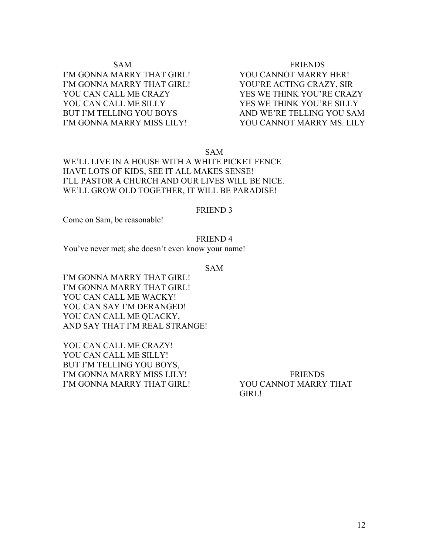# SAM FRIENDS I'M GONNA MARRY THAT GIRL! YOU CANNOT MARRY HER! I'M GONNA MARRY THAT GIRL! YOU'RE ACTING CRAZY, SIR YOU CAN CALL ME CRAZY YES WE THINK YOU'RE CRAZY YOU CAN CALL ME SILLY YES WE THINK YOU'RE SILLY BUT I'M TELLING YOU BOYS AND WE'RE TELLING YOU SAM I'M GONNA MARRY MISS LILY! YOU CANNOT MARRY MS. LILY

SAM

# WE'LL LIVE IN A HOUSE WITH A WHITE PICKET FENCE HAVE LOTS OF KIDS, SEE IT ALL MAKES SENSE! I'LL PASTOR A CHURCH AND OUR LIVES WILL BE NICE. WE'LL GROW OLD TOGETHER, IT WILL BE PARADISE!

## FRIEND 3

Come on Sam, be reasonable!

## FRIEND 4

You've never met; she doesn't even know your name!

SAM

I'M GONNA MARRY THAT GIRL! I'M GONNA MARRY THAT GIRL! YOU CAN CALL ME WACKY! YOU CAN SAY I'M DERANGED! YOU CAN CALL ME QUACKY, AND SAY THAT I'M REAL STRANGE!

YOU CAN CALL ME CRAZY! YOU CAN CALL ME SILLY! BUT I'M TELLING YOU BOYS, I'M GONNA MARRY MISS LILY! FRIENDS I'M GONNA MARRY THAT GIRL! YOU CANNOT MARRY THAT

GIRL!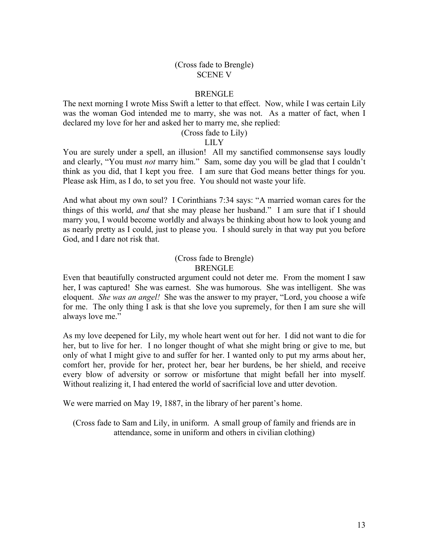## (Cross fade to Brengle) SCENE V

## **BRENGLE**

The next morning I wrote Miss Swift a letter to that effect. Now, while I was certain Lily was the woman God intended me to marry, she was not. As a matter of fact, when I declared my love for her and asked her to marry me, she replied:

# (Cross fade to Lily)

## LILY

You are surely under a spell, an illusion! All my sanctified commonsense says loudly and clearly, "You must *not* marry him." Sam, some day you will be glad that I couldn't think as you did, that I kept you free. I am sure that God means better things for you. Please ask Him, as I do, to set you free. You should not waste your life.

And what about my own soul? I Corinthians 7:34 says: "A married woman cares for the things of this world, *and* that she may please her husband." I am sure that if I should marry you, I would become worldly and always be thinking about how to look young and as nearly pretty as I could, just to please you. I should surely in that way put you before God, and I dare not risk that.

# (Cross fade to Brengle) **BRENGLE**

Even that beautifully constructed argument could not deter me. From the moment I saw her, I was captured! She was earnest. She was humorous. She was intelligent. She was eloquent. *She was an angel!* She was the answer to my prayer, "Lord, you choose a wife for me. The only thing I ask is that she love you supremely, for then I am sure she will always love me."

As my love deepened for Lily, my whole heart went out for her. I did not want to die for her, but to live for her. I no longer thought of what she might bring or give to me, but only of what I might give to and suffer for her. I wanted only to put my arms about her, comfort her, provide for her, protect her, bear her burdens, be her shield, and receive every blow of adversity or sorrow or misfortune that might befall her into myself. Without realizing it, I had entered the world of sacrificial love and utter devotion.

We were married on May 19, 1887, in the library of her parent's home.

(Cross fade to Sam and Lily, in uniform. A small group of family and friends are in attendance, some in uniform and others in civilian clothing)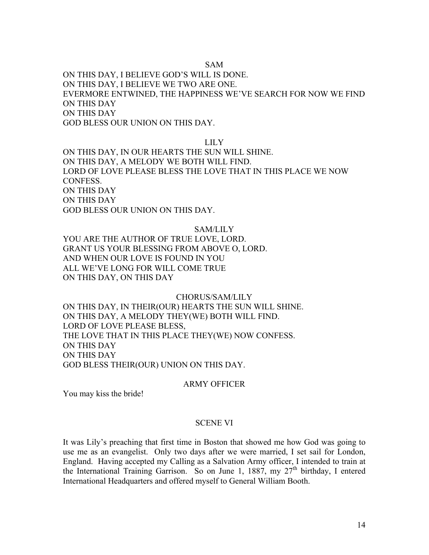## SAM

ON THIS DAY, I BELIEVE GOD'S WILL IS DONE. ON THIS DAY, I BELIEVE WE TWO ARE ONE. EVERMORE ENTWINED, THE HAPPINESS WE'VE SEARCH FOR NOW WE FIND ON THIS DAY ON THIS DAY GOD BLESS OUR UNION ON THIS DAY.

## LILY

ON THIS DAY, IN OUR HEARTS THE SUN WILL SHINE. ON THIS DAY, A MELODY WE BOTH WILL FIND. LORD OF LOVE PLEASE BLESS THE LOVE THAT IN THIS PLACE WE NOW CONFESS. ON THIS DAY ON THIS DAY GOD BLESS OUR UNION ON THIS DAY.

#### SAM/LILY

YOU ARE THE AUTHOR OF TRUE LOVE, LORD. GRANT US YOUR BLESSING FROM ABOVE O, LORD. AND WHEN OUR LOVE IS FOUND IN YOU ALL WE'VE LONG FOR WILL COME TRUE ON THIS DAY, ON THIS DAY

## CHORUS/SAM/LILY

ON THIS DAY, IN THEIR(OUR) HEARTS THE SUN WILL SHINE. ON THIS DAY, A MELODY THEY(WE) BOTH WILL FIND. LORD OF LOVE PLEASE BLESS, THE LOVE THAT IN THIS PLACE THEY(WE) NOW CONFESS. ON THIS DAY ON THIS DAY GOD BLESS THEIR(OUR) UNION ON THIS DAY.

#### ARMY OFFICER

You may kiss the bride!

#### SCENE VI

It was Lily's preaching that first time in Boston that showed me how God was going to use me as an evangelist. Only two days after we were married, I set sail for London, England. Having accepted my Calling as a Salvation Army officer, I intended to train at the International Training Garrison. So on June 1, 1887, my  $27<sup>th</sup>$  birthday, I entered International Headquarters and offered myself to General William Booth.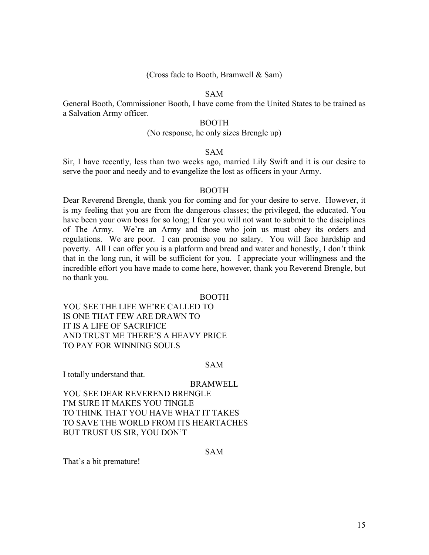## (Cross fade to Booth, Bramwell & Sam)

## SAM

General Booth, Commissioner Booth, I have come from the United States to be trained as a Salvation Army officer.

## BOOTH

#### (No response, he only sizes Brengle up)

#### SAM

Sir, I have recently, less than two weeks ago, married Lily Swift and it is our desire to serve the poor and needy and to evangelize the lost as officers in your Army.

#### BOOTH

Dear Reverend Brengle, thank you for coming and for your desire to serve. However, it is my feeling that you are from the dangerous classes; the privileged, the educated. You have been your own boss for so long; I fear you will not want to submit to the disciplines of The Army. We're an Army and those who join us must obey its orders and regulations. We are poor. I can promise you no salary. You will face hardship and poverty. All I can offer you is a platform and bread and water and honestly, I don't think that in the long run, it will be sufficient for you. I appreciate your willingness and the incredible effort you have made to come here, however, thank you Reverend Brengle, but no thank you.

BOOTH

YOU SEE THE LIFE WE'RE CALLED TO IS ONE THAT FEW ARE DRAWN TO IT IS A LIFE OF SACRIFICE AND TRUST ME THERE'S A HEAVY PRICE TO PAY FOR WINNING SOULS

#### SAM

I totally understand that.

BRAMWELL

YOU SEE DEAR REVEREND BRENGLE I'M SURE IT MAKES YOU TINGLE TO THINK THAT YOU HAVE WHAT IT TAKES TO SAVE THE WORLD FROM ITS HEARTACHES BUT TRUST US SIR, YOU DON'T

SAM

That's a bit premature!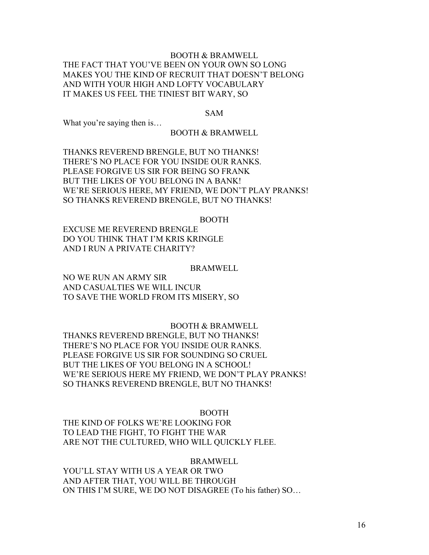# BOOTH & BRAMWELL THE FACT THAT YOU'VE BEEN ON YOUR OWN SO LONG MAKES YOU THE KIND OF RECRUIT THAT DOESN'T BELONG AND WITH YOUR HIGH AND LOFTY VOCABULARY IT MAKES US FEEL THE TINIEST BIT WARY, SO

#### SAM

What you're saying then is…

## BOOTH & BRAMWELL

THANKS REVEREND BRENGLE, BUT NO THANKS! THERE'S NO PLACE FOR YOU INSIDE OUR RANKS. PLEASE FORGIVE US SIR FOR BEING SO FRANK BUT THE LIKES OF YOU BELONG IN A BANK! WE'RE SERIOUS HERE, MY FRIEND, WE DON'T PLAY PRANKS! SO THANKS REVEREND BRENGLE, BUT NO THANKS!

#### BOOTH

EXCUSE ME REVEREND BRENGLE DO YOU THINK THAT I'M KRIS KRINGLE AND I RUN A PRIVATE CHARITY?

#### BRAMWELL

NO WE RUN AN ARMY SIR AND CASUALTIES WE WILL INCUR TO SAVE THE WORLD FROM ITS MISERY, SO

# BOOTH & BRAMWELL

THANKS REVEREND BRENGLE, BUT NO THANKS! THERE'S NO PLACE FOR YOU INSIDE OUR RANKS. PLEASE FORGIVE US SIR FOR SOUNDING SO CRUEL BUT THE LIKES OF YOU BELONG IN A SCHOOL! WE'RE SERIOUS HERE MY FRIEND, WE DON'T PLAY PRANKS! SO THANKS REVEREND BRENGLE, BUT NO THANKS!

#### BOOTH

THE KIND OF FOLKS WE'RE LOOKING FOR TO LEAD THE FIGHT, TO FIGHT THE WAR ARE NOT THE CULTURED, WHO WILL QUICKLY FLEE.

#### **BRAMWELL**

YOU'LL STAY WITH US A YEAR OR TWO AND AFTER THAT, YOU WILL BE THROUGH ON THIS I'M SURE, WE DO NOT DISAGREE (To his father) SO…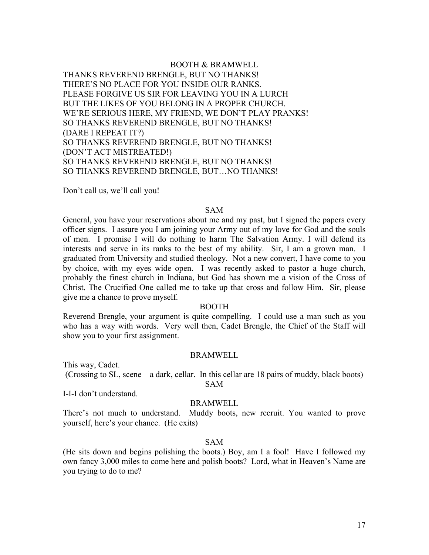BOOTH & BRAMWELL THANKS REVEREND BRENGLE, BUT NO THANKS! THERE'S NO PLACE FOR YOU INSIDE OUR RANKS. PLEASE FORGIVE US SIR FOR LEAVING YOU IN A LURCH BUT THE LIKES OF YOU BELONG IN A PROPER CHURCH. WE'RE SERIOUS HERE, MY FRIEND, WE DON'T PLAY PRANKS! SO THANKS REVEREND BRENGLE, BUT NO THANKS! (DARE I REPEAT IT?) SO THANKS REVEREND BRENGLE, BUT NO THANKS! (DON'T ACT MISTREATED!) SO THANKS REVEREND BRENGLE, BUT NO THANKS! SO THANKS REVEREND BRENGLE, BUT…NO THANKS!

Don't call us, we'll call you!

#### SAM

General, you have your reservations about me and my past, but I signed the papers every officer signs. I assure you I am joining your Army out of my love for God and the souls of men. I promise I will do nothing to harm The Salvation Army. I will defend its interests and serve in its ranks to the best of my ability. Sir, I am a grown man. I graduated from University and studied theology. Not a new convert, I have come to you by choice, with my eyes wide open. I was recently asked to pastor a huge church, probably the finest church in Indiana, but God has shown me a vision of the Cross of Christ. The Crucified One called me to take up that cross and follow Him. Sir, please give me a chance to prove myself.

#### BOOTH

Reverend Brengle, your argument is quite compelling. I could use a man such as you who has a way with words. Very well then, Cadet Brengle, the Chief of the Staff will show you to your first assignment.

## BRAMWELL

This way, Cadet.

(Crossing to SL, scene – a dark, cellar. In this cellar are 18 pairs of muddy, black boots) SAM

I-I-I don't understand.

## BRAMWELL

There's not much to understand. Muddy boots, new recruit. You wanted to prove yourself, here's your chance. (He exits)

## SAM

(He sits down and begins polishing the boots.) Boy, am I a fool! Have I followed my own fancy 3,000 miles to come here and polish boots? Lord, what in Heaven's Name are you trying to do to me?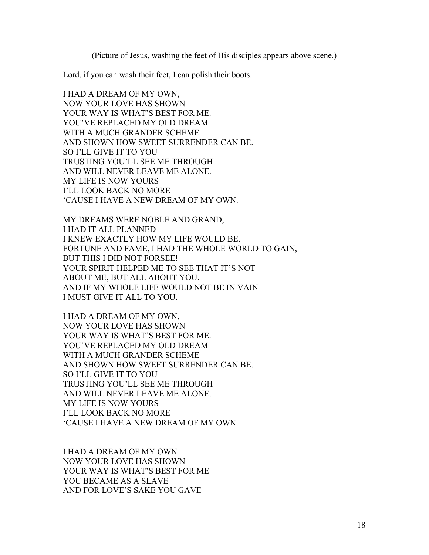(Picture of Jesus, washing the feet of His disciples appears above scene.)

Lord, if you can wash their feet, I can polish their boots.

I HAD A DREAM OF MY OWN, NOW YOUR LOVE HAS SHOWN YOUR WAY IS WHAT'S BEST FOR ME. YOU'VE REPLACED MY OLD DREAM WITH A MUCH GRANDER SCHEME AND SHOWN HOW SWEET SURRENDER CAN BE. SO I'LL GIVE IT TO YOU TRUSTING YOU'LL SEE ME THROUGH AND WILL NEVER LEAVE ME ALONE. MY LIFE IS NOW YOURS I'LL LOOK BACK NO MORE 'CAUSE I HAVE A NEW DREAM OF MY OWN.

MY DREAMS WERE NOBLE AND GRAND, I HAD IT ALL PLANNED I KNEW EXACTLY HOW MY LIFE WOULD BE. FORTUNE AND FAME, I HAD THE WHOLE WORLD TO GAIN, BUT THIS I DID NOT FORSEE! YOUR SPIRIT HELPED ME TO SEE THAT IT'S NOT ABOUT ME, BUT ALL ABOUT YOU. AND IF MY WHOLE LIFE WOULD NOT BE IN VAIN I MUST GIVE IT ALL TO YOU.

I HAD A DREAM OF MY OWN, NOW YOUR LOVE HAS SHOWN YOUR WAY IS WHAT'S BEST FOR ME. YOU'VE REPLACED MY OLD DREAM WITH A MUCH GRANDER SCHEME AND SHOWN HOW SWEET SURRENDER CAN BE. SO I'LL GIVE IT TO YOU TRUSTING YOU'LL SEE ME THROUGH AND WILL NEVER LEAVE ME ALONE. MY LIFE IS NOW YOURS I'LL LOOK BACK NO MORE 'CAUSE I HAVE A NEW DREAM OF MY OWN.

I HAD A DREAM OF MY OWN NOW YOUR LOVE HAS SHOWN YOUR WAY IS WHAT'S BEST FOR ME YOU BECAME AS A SLAVE AND FOR LOVE'S SAKE YOU GAVE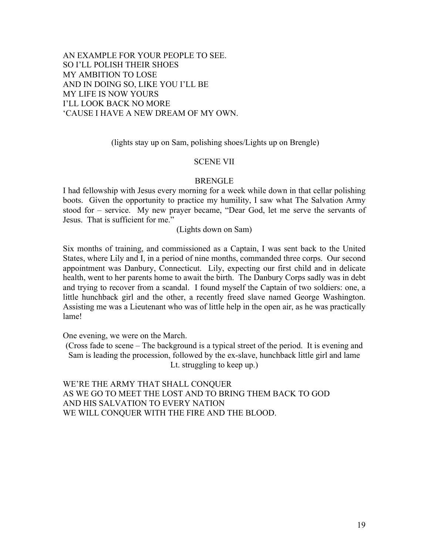AN EXAMPLE FOR YOUR PEOPLE TO SEE. SO I'LL POLISH THEIR SHOES MY AMBITION TO LOSE AND IN DOING SO, LIKE YOU I'LL BE MY LIFE IS NOW YOURS I'LL LOOK BACK NO MORE 'CAUSE I HAVE A NEW DREAM OF MY OWN.

(lights stay up on Sam, polishing shoes/Lights up on Brengle)

## SCENE VII

# BRENGLE

I had fellowship with Jesus every morning for a week while down in that cellar polishing boots. Given the opportunity to practice my humility, I saw what The Salvation Army stood for – service. My new prayer became, "Dear God, let me serve the servants of Jesus. That is sufficient for me."

(Lights down on Sam)

Six months of training, and commissioned as a Captain, I was sent back to the United States, where Lily and I, in a period of nine months, commanded three corps. Our second appointment was Danbury, Connecticut. Lily, expecting our first child and in delicate health, went to her parents home to await the birth. The Danbury Corps sadly was in debt and trying to recover from a scandal. I found myself the Captain of two soldiers: one, a little hunchback girl and the other, a recently freed slave named George Washington. Assisting me was a Lieutenant who was of little help in the open air, as he was practically lame!

One evening, we were on the March.

(Cross fade to scene – The background is a typical street of the period. It is evening and Sam is leading the procession, followed by the ex-slave, hunchback little girl and lame Lt. struggling to keep up.)

WE'RE THE ARMY THAT SHALL CONQUER AS WE GO TO MEET THE LOST AND TO BRING THEM BACK TO GOD AND HIS SALVATION TO EVERY NATION WE WILL CONQUER WITH THE FIRE AND THE BLOOD.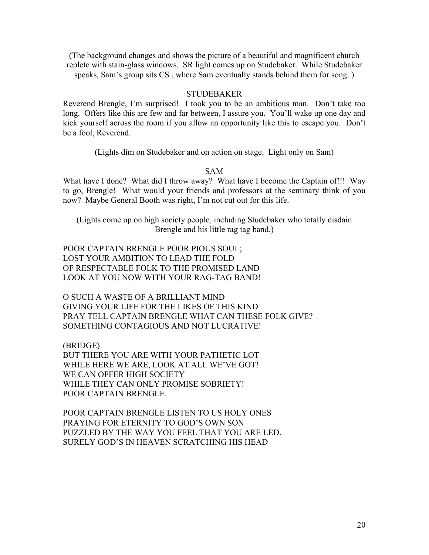(The background changes and shows the picture of a beautiful and magnificent church replete with stain-glass windows. SR light comes up on Studebaker. While Studebaker speaks, Sam's group sits CS , where Sam eventually stands behind them for song. )

## **STUDEBAKER**

Reverend Brengle, I'm surprised! I took you to be an ambitious man. Don't take too long. Offers like this are few and far between, I assure you. You'll wake up one day and kick yourself across the room if you allow an opportunity like this to escape you. Don't be a fool, Reverend.

(Lights dim on Studebaker and on action on stage. Light only on Sam)

## SAM

What have I done? What did I throw away? What have I become the Captain of!!! Way to go, Brengle! What would your friends and professors at the seminary think of you now? Maybe General Booth was right, I'm not cut out for this life.

(Lights come up on high society people, including Studebaker who totally disdain Brengle and his little rag tag band.)

POOR CAPTAIN BRENGLE POOR PIOUS SOUL; LOST YOUR AMBITION TO LEAD THE FOLD OF RESPECTABLE FOLK TO THE PROMISED LAND LOOK AT YOU NOW WITH YOUR RAG-TAG BAND!

O SUCH A WASTE OF A BRILLIANT MIND GIVING YOUR LIFE FOR THE LIKES OF THIS KIND PRAY TELL CAPTAIN BRENGLE WHAT CAN THESE FOLK GIVE? SOMETHING CONTAGIOUS AND NOT LUCRATIVE!

(BRIDGE) BUT THERE YOU ARE WITH YOUR PATHETIC LOT WHILE HERE WE ARE, LOOK AT ALL WE'VE GOT! WE CAN OFFER HIGH SOCIETY WHILE THEY CAN ONLY PROMISE SOBRIETY! POOR CAPTAIN BRENGLE.

POOR CAPTAIN BRENGLE LISTEN TO US HOLY ONES PRAYING FOR ETERNITY TO GOD'S OWN SON PUZZLED BY THE WAY YOU FEEL THAT YOU ARE LED. SURELY GOD'S IN HEAVEN SCRATCHING HIS HEAD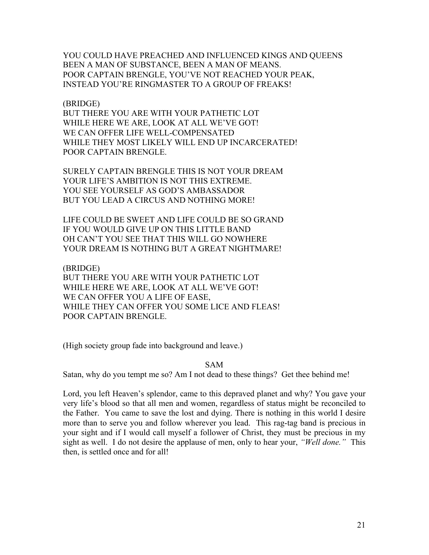YOU COULD HAVE PREACHED AND INFLUENCED KINGS AND QUEENS BEEN A MAN OF SUBSTANCE, BEEN A MAN OF MEANS. POOR CAPTAIN BRENGLE, YOU'VE NOT REACHED YOUR PEAK, INSTEAD YOU'RE RINGMASTER TO A GROUP OF FREAKS!

## (BRIDGE)

BUT THERE YOU ARE WITH YOUR PATHETIC LOT WHILE HERE WE ARE, LOOK AT ALL WE'VE GOT! WE CAN OFFER LIFE WELL-COMPENSATED WHILE THEY MOST LIKELY WILL END UP INCARCERATED! POOR CAPTAIN BRENGLE.

SURELY CAPTAIN BRENGLE THIS IS NOT YOUR DREAM YOUR LIFE'S AMBITION IS NOT THIS EXTREME. YOU SEE YOURSELF AS GOD'S AMBASSADOR BUT YOU LEAD A CIRCUS AND NOTHING MORE!

LIFE COULD BE SWEET AND LIFE COULD BE SO GRAND IF YOU WOULD GIVE UP ON THIS LITTLE BAND OH CAN'T YOU SEE THAT THIS WILL GO NOWHERE YOUR DREAM IS NOTHING BUT A GREAT NIGHTMARE!

(BRIDGE)

BUT THERE YOU ARE WITH YOUR PATHETIC LOT WHILE HERE WE ARE, LOOK AT ALL WE'VE GOT! WE CAN OFFER YOU A LIFE OF EASE, WHILE THEY CAN OFFER YOU SOME LICE AND FLEAS! POOR CAPTAIN BRENGLE.

(High society group fade into background and leave.)

## SAM

Satan, why do you tempt me so? Am I not dead to these things? Get thee behind me!

Lord, you left Heaven's splendor, came to this depraved planet and why? You gave your very life's blood so that all men and women, regardless of status might be reconciled to the Father. You came to save the lost and dying. There is nothing in this world I desire more than to serve you and follow wherever you lead. This rag-tag band is precious in your sight and if I would call myself a follower of Christ, they must be precious in my sight as well. I do not desire the applause of men, only to hear your, *"Well done."* This then, is settled once and for all!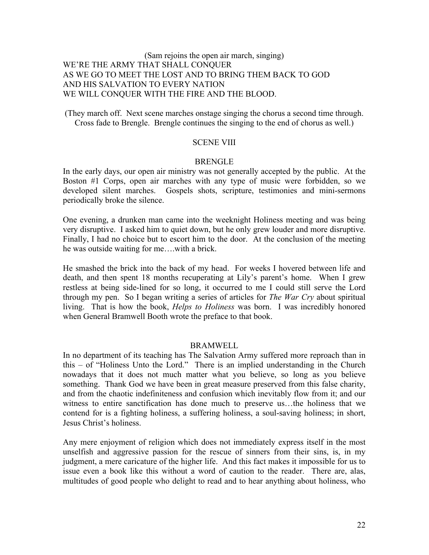# (Sam rejoins the open air march, singing) WE'RE THE ARMY THAT SHALL CONQUER AS WE GO TO MEET THE LOST AND TO BRING THEM BACK TO GOD AND HIS SALVATION TO EVERY NATION WE WILL CONQUER WITH THE FIRE AND THE BLOOD.

(They march off. Next scene marches onstage singing the chorus a second time through. Cross fade to Brengle. Brengle continues the singing to the end of chorus as well.)

## SCENE VIII

## BRENGLE

In the early days, our open air ministry was not generally accepted by the public. At the Boston #1 Corps, open air marches with any type of music were forbidden, so we developed silent marches. Gospels shots, scripture, testimonies and mini-sermons periodically broke the silence.

One evening, a drunken man came into the weeknight Holiness meeting and was being very disruptive. I asked him to quiet down, but he only grew louder and more disruptive. Finally, I had no choice but to escort him to the door. At the conclusion of the meeting he was outside waiting for me….with a brick.

He smashed the brick into the back of my head. For weeks I hovered between life and death, and then spent 18 months recuperating at Lily's parent's home. When I grew restless at being side-lined for so long, it occurred to me I could still serve the Lord through my pen. So I began writing a series of articles for *The War Cry* about spiritual living. That is how the book, *Helps to Holiness* was born. I was incredibly honored when General Bramwell Booth wrote the preface to that book.

## BRAMWELL

In no department of its teaching has The Salvation Army suffered more reproach than in this – of "Holiness Unto the Lord." There is an implied understanding in the Church nowadays that it does not much matter what you believe, so long as you believe something. Thank God we have been in great measure preserved from this false charity, and from the chaotic indefiniteness and confusion which inevitably flow from it; and our witness to entire sanctification has done much to preserve us…the holiness that we contend for is a fighting holiness, a suffering holiness, a soul-saving holiness; in short, Jesus Christ's holiness.

Any mere enjoyment of religion which does not immediately express itself in the most unselfish and aggressive passion for the rescue of sinners from their sins, is, in my judgment, a mere caricature of the higher life. And this fact makes it impossible for us to issue even a book like this without a word of caution to the reader. There are, alas, multitudes of good people who delight to read and to hear anything about holiness, who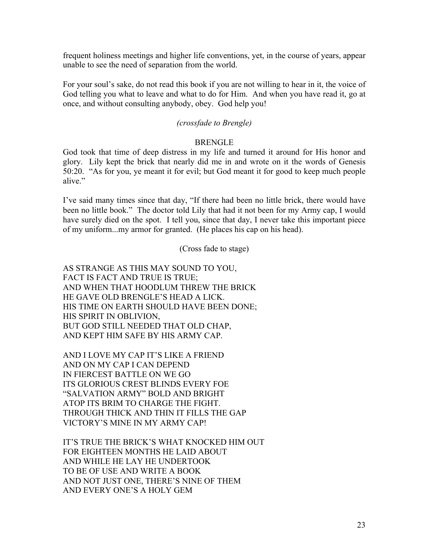frequent holiness meetings and higher life conventions, yet, in the course of years, appear unable to see the need of separation from the world.

For your soul's sake, do not read this book if you are not willing to hear in it, the voice of God telling you what to leave and what to do for Him. And when you have read it, go at once, and without consulting anybody, obey. God help you!

# *(crossfade to Brengle)*

## BRENGLE

God took that time of deep distress in my life and turned it around for His honor and glory. Lily kept the brick that nearly did me in and wrote on it the words of Genesis 50:20. "As for you, ye meant it for evil; but God meant it for good to keep much people alive."

I've said many times since that day, "If there had been no little brick, there would have been no little book." The doctor told Lily that had it not been for my Army cap, I would have surely died on the spot. I tell you, since that day, I never take this important piece of my uniform...my armor for granted. (He places his cap on his head).

(Cross fade to stage)

AS STRANGE AS THIS MAY SOUND TO YOU, FACT IS FACT AND TRUE IS TRUE; AND WHEN THAT HOODLUM THREW THE BRICK HE GAVE OLD BRENGLE'S HEAD A LICK. HIS TIME ON EARTH SHOULD HAVE BEEN DONE; HIS SPIRIT IN OBLIVION, BUT GOD STILL NEEDED THAT OLD CHAP, AND KEPT HIM SAFE BY HIS ARMY CAP.

AND I LOVE MY CAP IT'S LIKE A FRIEND AND ON MY CAP I CAN DEPEND IN FIERCEST BATTLE ON WE GO ITS GLORIOUS CREST BLINDS EVERY FOE "SALVATION ARMY" BOLD AND BRIGHT ATOP ITS BRIM TO CHARGE THE FIGHT. THROUGH THICK AND THIN IT FILLS THE GAP VICTORY'S MINE IN MY ARMY CAP!

IT'S TRUE THE BRICK'S WHAT KNOCKED HIM OUT FOR EIGHTEEN MONTHS HE LAID ABOUT AND WHILE HE LAY HE UNDERTOOK TO BE OF USE AND WRITE A BOOK AND NOT JUST ONE, THERE'S NINE OF THEM AND EVERY ONE'S A HOLY GEM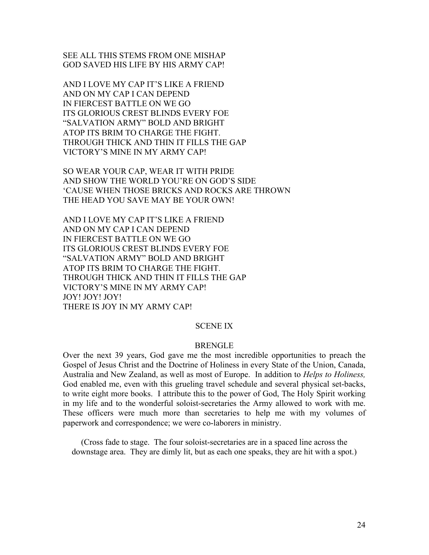SEE ALL THIS STEMS FROM ONE MISHAP GOD SAVED HIS LIFE BY HIS ARMY CAP!

AND I LOVE MY CAP IT'S LIKE A FRIEND AND ON MY CAP I CAN DEPEND IN FIERCEST BATTLE ON WE GO ITS GLORIOUS CREST BLINDS EVERY FOE "SALVATION ARMY" BOLD AND BRIGHT ATOP ITS BRIM TO CHARGE THE FIGHT. THROUGH THICK AND THIN IT FILLS THE GAP VICTORY'S MINE IN MY ARMY CAP!

SO WEAR YOUR CAP, WEAR IT WITH PRIDE AND SHOW THE WORLD YOU'RE ON GOD'S SIDE 'CAUSE WHEN THOSE BRICKS AND ROCKS ARE THROWN THE HEAD YOU SAVE MAY BE YOUR OWN!

AND I LOVE MY CAP IT'S LIKE A FRIEND AND ON MY CAP I CAN DEPEND IN FIERCEST BATTLE ON WE GO ITS GLORIOUS CREST BLINDS EVERY FOE "SALVATION ARMY" BOLD AND BRIGHT ATOP ITS BRIM TO CHARGE THE FIGHT. THROUGH THICK AND THIN IT FILLS THE GAP VICTORY'S MINE IN MY ARMY CAP! JOY! JOY! JOY! THERE IS JOY IN MY ARMY CAP!

## SCENE IX

#### BRENGLE

Over the next 39 years, God gave me the most incredible opportunities to preach the Gospel of Jesus Christ and the Doctrine of Holiness in every State of the Union, Canada, Australia and New Zealand, as well as most of Europe. In addition to *Helps to Holiness,* God enabled me, even with this grueling travel schedule and several physical set-backs, to write eight more books. I attribute this to the power of God, The Holy Spirit working in my life and to the wonderful soloist-secretaries the Army allowed to work with me. These officers were much more than secretaries to help me with my volumes of paperwork and correspondence; we were co-laborers in ministry.

(Cross fade to stage. The four soloist-secretaries are in a spaced line across the downstage area. They are dimly lit, but as each one speaks, they are hit with a spot.)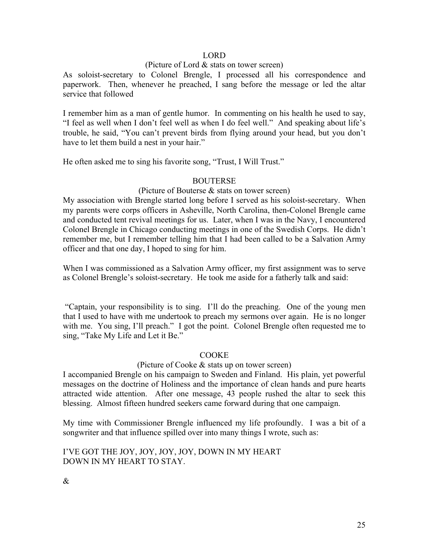# LORD

## (Picture of Lord & stats on tower screen)

As soloist-secretary to Colonel Brengle, I processed all his correspondence and paperwork. Then, whenever he preached, I sang before the message or led the altar service that followed

I remember him as a man of gentle humor. In commenting on his health he used to say, "I feel as well when I don't feel well as when I do feel well." And speaking about life's trouble, he said, "You can't prevent birds from flying around your head, but you don't have to let them build a nest in your hair."

He often asked me to sing his favorite song, "Trust, I Will Trust."

# BOUTERSE

## (Picture of Bouterse & stats on tower screen)

My association with Brengle started long before I served as his soloist-secretary. When my parents were corps officers in Asheville, North Carolina, then-Colonel Brengle came and conducted tent revival meetings for us. Later, when I was in the Navy, I encountered Colonel Brengle in Chicago conducting meetings in one of the Swedish Corps. He didn't remember me, but I remember telling him that I had been called to be a Salvation Army officer and that one day, I hoped to sing for him.

When I was commissioned as a Salvation Army officer, my first assignment was to serve as Colonel Brengle's soloist-secretary. He took me aside for a fatherly talk and said:

"Captain, your responsibility is to sing. I'll do the preaching. One of the young men that I used to have with me undertook to preach my sermons over again. He is no longer with me. You sing, I'll preach." I got the point. Colonel Brengle often requested me to sing, "Take My Life and Let it Be."

# COOKE

## (Picture of Cooke & stats up on tower screen)

I accompanied Brengle on his campaign to Sweden and Finland. His plain, yet powerful messages on the doctrine of Holiness and the importance of clean hands and pure hearts attracted wide attention. After one message, 43 people rushed the altar to seek this blessing. Almost fifteen hundred seekers came forward during that one campaign.

My time with Commissioner Brengle influenced my life profoundly. I was a bit of a songwriter and that influence spilled over into many things I wrote, such as:

I'VE GOT THE JOY, JOY, JOY, JOY, DOWN IN MY HEART DOWN IN MY HEART TO STAY.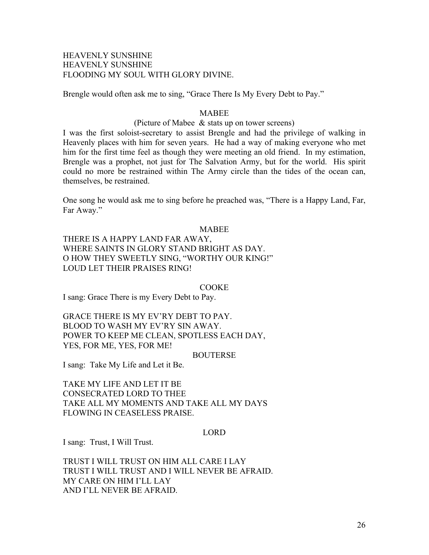## HEAVENLY SUNSHINE HEAVENLY SUNSHINE FLOODING MY SOUL WITH GLORY DIVINE.

Brengle would often ask me to sing, "Grace There Is My Every Debt to Pay."

## **MABEE**

## (Picture of Mabee & stats up on tower screens)

I was the first soloist-secretary to assist Brengle and had the privilege of walking in Heavenly places with him for seven years. He had a way of making everyone who met him for the first time feel as though they were meeting an old friend. In my estimation, Brengle was a prophet, not just for The Salvation Army, but for the world. His spirit could no more be restrained within The Army circle than the tides of the ocean can, themselves, be restrained.

One song he would ask me to sing before he preached was, "There is a Happy Land, Far, Far Away."

#### **MABEE**

THERE IS A HAPPY LAND FAR AWAY, WHERE SAINTS IN GLORY STAND BRIGHT AS DAY. O HOW THEY SWEETLY SING, "WORTHY OUR KING!" LOUD LET THEIR PRAISES RING!

#### **COOKE**

I sang: Grace There is my Every Debt to Pay.

GRACE THERE IS MY EV'RY DEBT TO PAY. BLOOD TO WASH MY EV'RY SIN AWAY. POWER TO KEEP ME CLEAN, SPOTLESS EACH DAY, YES, FOR ME, YES, FOR ME!

#### BOUTERSE

I sang: Take My Life and Let it Be.

TAKE MY LIFE AND LET IT BE CONSECRATED LORD TO THEE TAKE ALL MY MOMENTS AND TAKE ALL MY DAYS FLOWING IN CEASELESS PRAISE.

## LORD

I sang: Trust, I Will Trust.

TRUST I WILL TRUST ON HIM ALL CARE I LAY TRUST I WILL TRUST AND I WILL NEVER BE AFRAID. MY CARE ON HIM I'LL LAY AND I'LL NEVER BE AFRAID.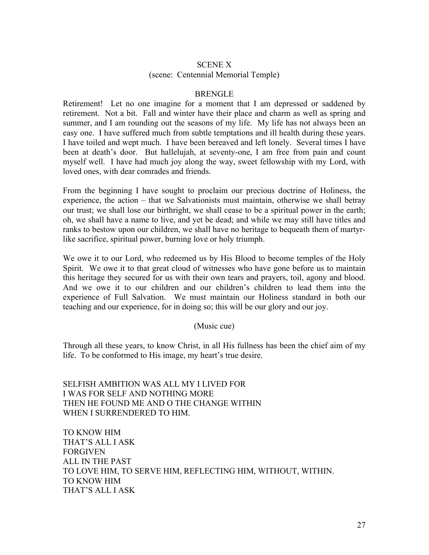# SCENE X (scene: Centennial Memorial Temple)

## BRENGLE

Retirement! Let no one imagine for a moment that I am depressed or saddened by retirement. Not a bit. Fall and winter have their place and charm as well as spring and summer, and I am rounding out the seasons of my life. My life has not always been an easy one. I have suffered much from subtle temptations and ill health during these years. I have toiled and wept much. I have been bereaved and left lonely. Several times I have been at death's door. But hallelujah, at seventy-one, I am free from pain and count myself well. I have had much joy along the way, sweet fellowship with my Lord, with loved ones, with dear comrades and friends.

From the beginning I have sought to proclaim our precious doctrine of Holiness, the experience, the action – that we Salvationists must maintain, otherwise we shall betray our trust; we shall lose our birthright, we shall cease to be a spiritual power in the earth; oh, we shall have a name to live, and yet be dead; and while we may still have titles and ranks to bestow upon our children, we shall have no heritage to bequeath them of martyrlike sacrifice, spiritual power, burning love or holy triumph.

We owe it to our Lord, who redeemed us by His Blood to become temples of the Holy Spirit. We owe it to that great cloud of witnesses who have gone before us to maintain this heritage they secured for us with their own tears and prayers, toil, agony and blood. And we owe it to our children and our children's children to lead them into the experience of Full Salvation. We must maintain our Holiness standard in both our teaching and our experience, for in doing so; this will be our glory and our joy.

## (Music cue)

Through all these years, to know Christ, in all His fullness has been the chief aim of my life. To be conformed to His image, my heart's true desire.

SELFISH AMBITION WAS ALL MY I LIVED FOR I WAS FOR SELF AND NOTHING MORE THEN HE FOUND ME AND O THE CHANGE WITHIN WHEN I SURRENDERED TO HIM.

TO KNOW HIM THAT'S ALL I ASK FORGIVEN ALL IN THE PAST TO LOVE HIM, TO SERVE HIM, REFLECTING HIM, WITHOUT, WITHIN. TO KNOW HIM THAT'S ALL I ASK